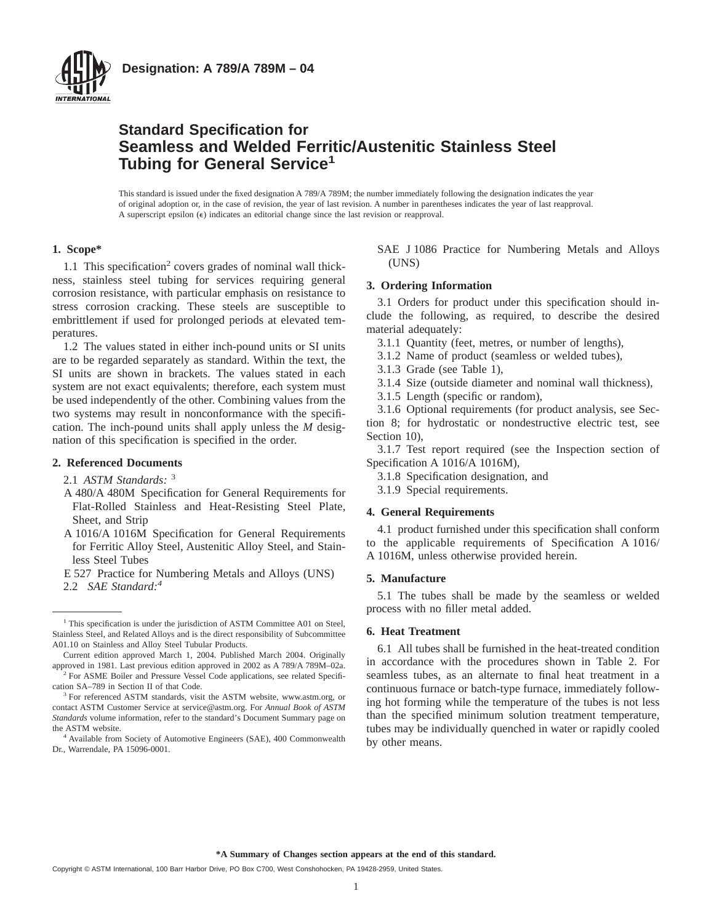

## **Standard Specification for Seamless and Welded Ferritic/Austenitic Stainless Steel Tubing for General Service<sup>1</sup>**

This standard is issued under the fixed designation A 789/A 789M; the number immediately following the designation indicates the year of original adoption or, in the case of revision, the year of last revision. A number in parentheses indicates the year of last reapproval. A superscript epsilon  $(\epsilon)$  indicates an editorial change since the last revision or reapproval.

#### **1. Scope\***

1.1 This specification<sup>2</sup> covers grades of nominal wall thickness, stainless steel tubing for services requiring general corrosion resistance, with particular emphasis on resistance to stress corrosion cracking. These steels are susceptible to embrittlement if used for prolonged periods at elevated temperatures.

1.2 The values stated in either inch-pound units or SI units are to be regarded separately as standard. Within the text, the SI units are shown in brackets. The values stated in each system are not exact equivalents; therefore, each system must be used independently of the other. Combining values from the two systems may result in nonconformance with the specification. The inch-pound units shall apply unless the *M* designation of this specification is specified in the order.

#### **2. Referenced Documents**

2.1 *ASTM Standards:* <sup>3</sup>

- A 480/A 480M Specification for General Requirements for Flat-Rolled Stainless and Heat-Resisting Steel Plate, Sheet, and Strip
- A 1016/A 1016M Specification for General Requirements for Ferritic Alloy Steel, Austenitic Alloy Steel, and Stainless Steel Tubes
- E 527 Practice for Numbering Metals and Alloys (UNS)
- 2.2 *SAE Standard:4*

SAE J 1086 Practice for Numbering Metals and Alloys (UNS)

#### **3. Ordering Information**

3.1 Orders for product under this specification should include the following, as required, to describe the desired material adequately:

- 3.1.1 Quantity (feet, metres, or number of lengths),
- 3.1.2 Name of product (seamless or welded tubes),
- 3.1.3 Grade (see Table 1),
- 3.1.4 Size (outside diameter and nominal wall thickness),
- 3.1.5 Length (specific or random),

3.1.6 Optional requirements (for product analysis, see Section 8; for hydrostatic or nondestructive electric test, see Section 10),

3.1.7 Test report required (see the Inspection section of Specification A 1016/A 1016M),

- 3.1.8 Specification designation, and
- 3.1.9 Special requirements.

#### **4. General Requirements**

4.1 product furnished under this specification shall conform to the applicable requirements of Specification A 1016/ A 1016M, unless otherwise provided herein.

#### **5. Manufacture**

5.1 The tubes shall be made by the seamless or welded process with no filler metal added.

#### **6. Heat Treatment**

6.1 All tubes shall be furnished in the heat-treated condition in accordance with the procedures shown in Table 2. For seamless tubes, as an alternate to final heat treatment in a continuous furnace or batch-type furnace, immediately following hot forming while the temperature of the tubes is not less than the specified minimum solution treatment temperature, tubes may be individually quenched in water or rapidly cooled by other means.

**\*A Summary of Changes section appears at the end of this standard.**

<sup>&</sup>lt;sup>1</sup> This specification is under the jurisdiction of ASTM Committee A01 on Steel, Stainless Steel, and Related Alloys and is the direct responsibility of Subcommittee A01.10 on Stainless and Alloy Steel Tubular Products.

Current edition approved March 1, 2004. Published March 2004. Originally approved in 1981. Last previous edition approved in 2002 as A 789/A 789M–02a.

<sup>&</sup>lt;sup>2</sup> For ASME Boiler and Pressure Vessel Code applications, see related Specification SA–789 in Section II of that Code.

<sup>&</sup>lt;sup>3</sup> For referenced ASTM standards, visit the ASTM website, www.astm.org, or contact ASTM Customer Service at service@astm.org. For *Annual Book of ASTM Standards* volume information, refer to the standard's Document Summary page on the ASTM website.

<sup>4</sup> Available from Society of Automotive Engineers (SAE), 400 Commonwealth Dr., Warrendale, PA 15096-0001.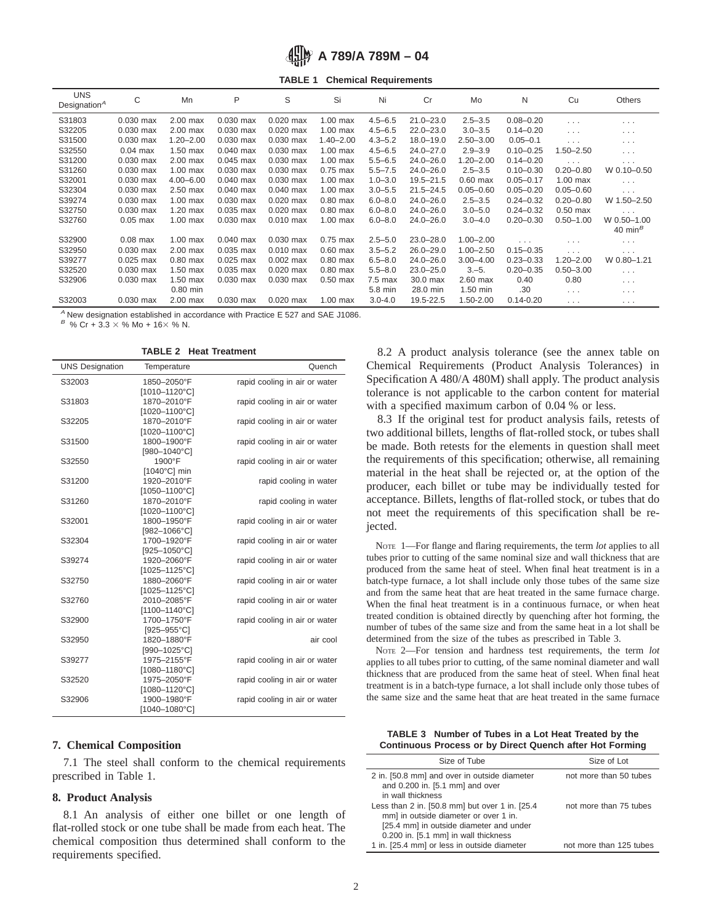# **A 789/A 789M – 04**

**TABLE 1 Chemical Requirements**

| <b>UNS</b><br>Designation $A$ | C           | Mn            | P           | S           | Si            | Ni          | Cr            | Mo            | N             | Cu            | Others               |
|-------------------------------|-------------|---------------|-------------|-------------|---------------|-------------|---------------|---------------|---------------|---------------|----------------------|
| S31803                        | $0.030$ max | $2.00$ max    | $0.030$ max | $0.020$ max | $1.00$ max    | $4.5 - 6.5$ | $21.0 - 23.0$ | $2.5 - 3.5$   | $0.08 - 0.20$ | $\cdots$      | $\cdots$             |
| S32205                        | $0.030$ max | 2.00 max      | $0.030$ max | $0.020$ max | $1.00$ max    | $4.5 - 6.5$ | $22.0 - 23.0$ | $3.0 - 3.5$   | $0.14 - 0.20$ | .             | $\cdots$             |
| S31500                        | $0.030$ max | $1.20 - 2.00$ | $0.030$ max | $0.030$ max | $1.40 - 2.00$ | $4.3 - 5.2$ | $18.0 - 19.0$ | $2.50 - 3.00$ | $0.05 - 0.1$  | .             | $\cdots$             |
| S32550                        | $0.04$ max  | $1.50$ max    | $0.040$ max | $0.030$ max | $1.00$ max    | $4.5 - 6.5$ | $24.0 - 27.0$ | $2.9 - 3.9$   | $0.10 - 0.25$ | $1.50 - 2.50$ | $\sim$ $\sim$ $\sim$ |
| S31200                        | $0.030$ max | $2.00$ max    | $0.045$ max | $0.030$ max | $1.00$ max    | $5.5 - 6.5$ | $24.0 - 26.0$ | $1.20 - 2.00$ | $0.14 - 0.20$ | .             | $\cdots$             |
| S31260                        | $0.030$ max | $1.00$ max    | $0.030$ max | $0.030$ max | $0.75$ max    | $5.5 - 7.5$ | $24.0 - 26.0$ | $2.5 - 3.5$   | $0.10 - 0.30$ | $0.20 - 0.80$ | W 0.10-0.50          |
| S32001                        | $0.030$ max | $4.00 - 6.00$ | $0.040$ max | 0.030 max   | $1.00$ max    | $1.0 - 3.0$ | $19.5 - 21.5$ | $0.60$ max    | $0.05 - 0.17$ | $1.00$ max    | $\cdots$             |
| S32304                        | $0.030$ max | $2.50$ max    | $0.040$ max | $0.040$ max | $1.00$ max    | $3.0 - 5.5$ | $21.5 - 24.5$ | $0.05 - 0.60$ | $0.05 - 0.20$ | $0.05 - 0.60$ | $\cdots$             |
| S39274                        | $0.030$ max | $1.00$ max    | $0.030$ max | $0.020$ max | $0.80$ max    | $6.0 - 8.0$ | $24.0 - 26.0$ | $2.5 - 3.5$   | $0.24 - 0.32$ | $0.20 - 0.80$ | W 1.50-2.50          |
| S32750                        | $0.030$ max | 1.20 max      | $0.035$ max | $0.020$ max | $0.80$ max    | $6.0 - 8.0$ | $24.0 - 26.0$ | $3.0 - 5.0$   | $0.24 - 0.32$ | $0.50$ max    | $\cdots$             |
| S32760                        | $0.05$ max  | $1.00$ max    | $0.030$ max | $0.010$ max | $1.00$ max    | $6.0 - 8.0$ | $24.0 - 26.0$ | $3.0 - 4.0$   | $0.20 - 0.30$ | $0.50 - 1.00$ | W 0.50-1.00          |
|                               |             |               |             |             |               |             |               |               |               |               | 40 min $^B$          |
| S32900                        | $0.08$ max  | $1.00$ max    | $0.040$ max | $0.030$ max | $0.75$ max    | $2.5 - 5.0$ | $23.0 - 28.0$ | $1.00 - 2.00$ | .             | $\cdots$      | $\cdots$             |
| S32950                        | $0.030$ max | $2.00$ max    | 0.035 max   | $0.010$ max | $0.60$ max    | $3.5 - 5.2$ | $26.0 - 29.0$ | $1.00 - 2.50$ | $0.15 - 0.35$ | .             | $\cdots$             |
| S39277                        | $0.025$ max | $0.80$ max    | $0.025$ max | $0.002$ max | $0.80$ max    | $6.5 - 8.0$ | $24.0 - 26.0$ | $3.00 - 4.00$ | $0.23 - 0.33$ | $1.20 - 2.00$ | W 0.80-1.21          |
| S32520                        | $0.030$ max | $1.50$ max    | 0.035 max   | $0.020$ max | $0.80$ max    | $5.5 - 8.0$ | $23.0 - 25.0$ | $3,-5.$       | $0.20 - 0.35$ | $0.50 - 3.00$ | $\sim$ $\sim$ $\sim$ |
| S32906                        | $0.030$ max | 1.50 max      | $0.030$ max | $0.030$ max | $0.50$ max    | $7.5$ max   | 30.0 max      | $2.60$ max    | 0.40          | 0.80          | $\cdots$             |
|                               |             | $0.80$ min    |             |             |               | 5.8 min     | 28.0 min      | $1.50$ min    | .30           | $\cdots$      | $\cdots$             |
| S32003                        | $0.030$ max | 2.00 max      | $0.030$ max | $0.020$ max | $1.00$ max    | $3.0 - 4.0$ | 19.5-22.5     | 1.50-2.00     | $0.14 - 0.20$ | .             | $\cdots$             |

 $A$  New designation established in accordance with Practice E 527 and SAE J1086.

 $B \%$  Cr + 3.3  $\times$  % Mo + 16 $\times$  % N.

| <b>TABLE 2 Heat Treatment</b> |  |  |  |
|-------------------------------|--|--|--|
|-------------------------------|--|--|--|

| <b>UNS Designation</b> | Temperature                  | Quench                        |
|------------------------|------------------------------|-------------------------------|
| S32003                 | 1850-2050°F                  | rapid cooling in air or water |
|                        | [1010-1120°C]                |                               |
| S31803                 | 1870-2010°F                  | rapid cooling in air or water |
|                        | [1020-1100°C]                |                               |
| S32205                 | 1870-2010°F                  | rapid cooling in air or water |
|                        | [1020-1100°C]                |                               |
| S31500                 | 1800-1900°F                  | rapid cooling in air or water |
|                        | [980-1040°C]                 |                               |
| S32550                 | 1900°F                       | rapid cooling in air or water |
|                        | [1040°C] min                 |                               |
| S31200                 | 1920-2010°F                  | rapid cooling in water        |
|                        | [1050-1100°C]                |                               |
| S31260                 | 1870-2010°F                  | rapid cooling in water        |
|                        | [1020-1100°C]                |                               |
| S32001                 | 1800-1950°F                  | rapid cooling in air or water |
|                        | $[982 - 1066^{\circ}C]$      |                               |
| S32304                 | 1700-1920°F                  | rapid cooling in air or water |
|                        | [925-1050°C]                 |                               |
| S39274                 | 1920-2060°F                  | rapid cooling in air or water |
|                        | [1025-1125°C]                |                               |
| S32750                 | 1880-2060°F                  | rapid cooling in air or water |
|                        | [1025-1125°C]                |                               |
| S32760                 | 2010-2085°F                  | rapid cooling in air or water |
|                        | [1100-1140°C]                |                               |
| S32900                 | 1700-1750°F                  | rapid cooling in air or water |
|                        | [925-955°C]                  |                               |
| S32950                 | 1820-1880°F                  | air cool                      |
|                        | [990-1025°C]                 |                               |
| S39277                 | 1975-2155°F                  | rapid cooling in air or water |
|                        | $[1080 - 1180^{\circ}$ C]    |                               |
| S32520                 | 1975-2050°F<br>[1080-1120°C] | rapid cooling in air or water |
|                        | 1900-1980°F                  |                               |
| S32906                 | [1040-1080°C]                | rapid cooling in air or water |
|                        |                              |                               |

#### **7. Chemical Composition**

7.1 The steel shall conform to the chemical requirements prescribed in Table 1.

#### **8. Product Analysis**

8.1 An analysis of either one billet or one length of flat-rolled stock or one tube shall be made from each heat. The chemical composition thus determined shall conform to the requirements specified.

8.2 A product analysis tolerance (see the annex table on Chemical Requirements (Product Analysis Tolerances) in Specification A 480/A 480M) shall apply. The product analysis tolerance is not applicable to the carbon content for material with a specified maximum carbon of 0.04 % or less.

8.3 If the original test for product analysis fails, retests of two additional billets, lengths of flat-rolled stock, or tubes shall be made. Both retests for the elements in question shall meet the requirements of this specification; otherwise, all remaining material in the heat shall be rejected or, at the option of the producer, each billet or tube may be individually tested for acceptance. Billets, lengths of flat-rolled stock, or tubes that do not meet the requirements of this specification shall be rejected.

NOTE 1—For flange and flaring requirements, the term *lot* applies to all tubes prior to cutting of the same nominal size and wall thickness that are produced from the same heat of steel. When final heat treatment is in a batch-type furnace, a lot shall include only those tubes of the same size and from the same heat that are heat treated in the same furnace charge. When the final heat treatment is in a continuous furnace, or when heat treated condition is obtained directly by quenching after hot forming, the number of tubes of the same size and from the same heat in a lot shall be determined from the size of the tubes as prescribed in Table 3.

NOTE 2—For tension and hardness test requirements, the term *lot* applies to all tubes prior to cutting, of the same nominal diameter and wall thickness that are produced from the same heat of steel. When final heat treatment is in a batch-type furnace, a lot shall include only those tubes of the same size and the same heat that are heat treated in the same furnace

**TABLE 3 Number of Tubes in a Lot Heat Treated by the Continuous Process or by Direct Quench after Hot Forming**

| Size of Tube                                                                    | Size of Lot             |
|---------------------------------------------------------------------------------|-------------------------|
| 2 in. [50.8 mm] and over in outside diameter<br>and 0.200 in. [5.1 mm] and over | not more than 50 tubes  |
| in wall thickness                                                               |                         |
| Less than 2 in. [50.8 mm] but over 1 in. [25.4]                                 | not more than 75 tubes  |
| mm] in outside diameter or over 1 in.                                           |                         |
| [25.4 mm] in outside diameter and under                                         |                         |
| 0.200 in. [5.1 mm] in wall thickness                                            |                         |
| 1 in. [25.4 mm] or less in outside diameter                                     | not more than 125 tubes |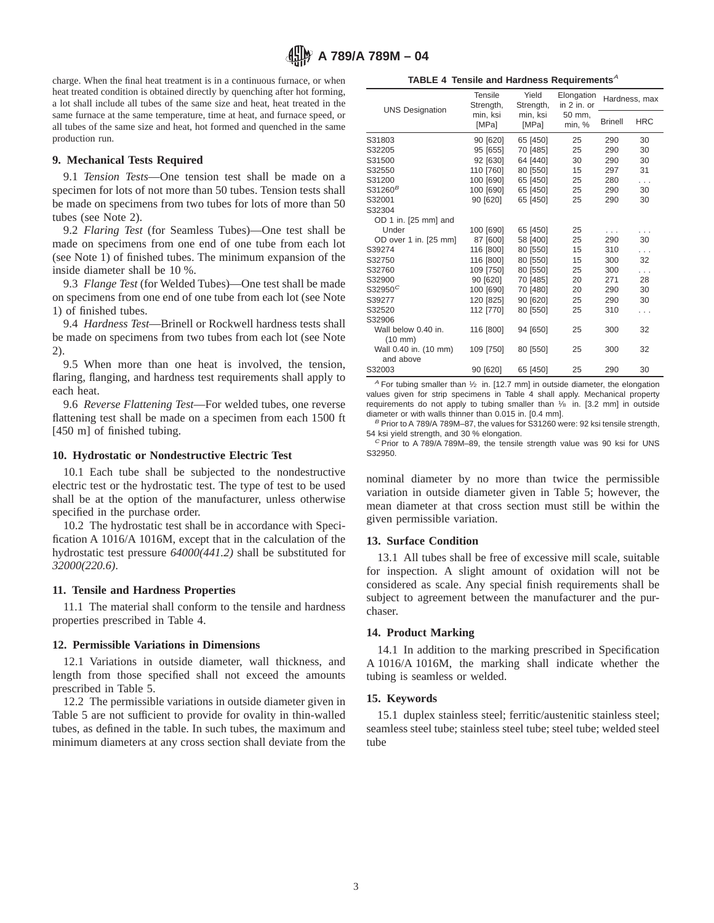charge. When the final heat treatment is in a continuous furnace, or when heat treated condition is obtained directly by quenching after hot forming, a lot shall include all tubes of the same size and heat, heat treated in the same furnace at the same temperature, time at heat, and furnace speed, or all tubes of the same size and heat, hot formed and quenched in the same production run.

## **9. Mechanical Tests Required**

9.1 *Tension Tests*—One tension test shall be made on a specimen for lots of not more than 50 tubes. Tension tests shall be made on specimens from two tubes for lots of more than 50 tubes (see Note 2).

9.2 *Flaring Test* (for Seamless Tubes)—One test shall be made on specimens from one end of one tube from each lot (see Note 1) of finished tubes. The minimum expansion of the inside diameter shall be 10 %.

9.3 *Flange Test* (for Welded Tubes)—One test shall be made on specimens from one end of one tube from each lot (see Note 1) of finished tubes.

9.4 *Hardness Test*—Brinell or Rockwell hardness tests shall be made on specimens from two tubes from each lot (see Note 2).

9.5 When more than one heat is involved, the tension, flaring, flanging, and hardness test requirements shall apply to each heat.

9.6 *Reverse Flattening Test*—For welded tubes, one reverse flattening test shall be made on a specimen from each 1500 ft [450 m] of finished tubing.

## **10. Hydrostatic or Nondestructive Electric Test**

10.1 Each tube shall be subjected to the nondestructive electric test or the hydrostatic test. The type of test to be used shall be at the option of the manufacturer, unless otherwise specified in the purchase order.

10.2 The hydrostatic test shall be in accordance with Specification A 1016/A 1016M, except that in the calculation of the hydrostatic test pressure *64000(441.2)* shall be substituted for *32000(220.6)*.

## **11. Tensile and Hardness Properties**

11.1 The material shall conform to the tensile and hardness properties prescribed in Table 4.

## **12. Permissible Variations in Dimensions**

12.1 Variations in outside diameter, wall thickness, and length from those specified shall not exceed the amounts prescribed in Table 5.

12.2 The permissible variations in outside diameter given in Table 5 are not sufficient to provide for ovality in thin-walled tubes, as defined in the table. In such tubes, the maximum and minimum diameters at any cross section shall deviate from the

TABLE 4 Tensile and Hardness Requirements<sup>A</sup>

| <b>UNS Designation</b>                   | <b>Tensile</b><br>Strength, | Yield<br>Strength, | Elongation<br>in $2$ in. or | Hardness, max  |            |
|------------------------------------------|-----------------------------|--------------------|-----------------------------|----------------|------------|
|                                          | min, ksi<br>[MPa]           | min, ksi<br>[MPa]  | 50 mm,<br>min, %            | <b>Brinell</b> | <b>HRC</b> |
| S31803                                   | 90 [620]                    | 65 [450]           | 25                          | 290            | 30         |
| S32205                                   | 95 [655]                    | 70 [485]           | 25                          | 290            | 30         |
| S31500                                   | 92 [630]                    | 64 [440]           | 30                          | 290            | 30         |
| S32550                                   | 110 [760]                   | 80 [550]           | 15                          | 297            | 31         |
| S31200                                   | 100 [690]                   | 65 [450]           | 25                          | 280            | $\cdots$   |
| $S31260^B$                               | 100 [690]                   | 65 [450]           | 25                          | 290            | 30         |
| S32001                                   | 90 [620]                    | 65 [450]           | 25                          | 290            | 30         |
| S32304                                   |                             |                    |                             |                |            |
| OD 1 in. [25 mm] and                     |                             |                    |                             |                |            |
| Under                                    | 100 [690]                   | 65 [450]           | 25                          | .              |            |
| OD over 1 in. [25 mm]                    | 87 [600]                    | 58 [400]           | 25                          | 290            | 30         |
| S39274                                   | 116 [800]                   | 80 [550]           | 15                          | 310            | .          |
| S32750                                   | 116 [800]                   | 80 [550]           | 15                          | 300            | 32         |
| S32760                                   | 109 [750]                   | 80 [550]           | 25                          | 300            | .          |
| S32900                                   | 90 [620]                    | 70 [485]           | 20                          | 271            | 28         |
| $S32950^C$                               | 100 [690]                   | 70 [480]           | 20                          | 290            | 30         |
| S39277                                   | 120 [825]                   | 90 [620]           | 25                          | 290            | 30         |
| S32520                                   | 112 [770]                   | 80 [550]           | 25                          | 310            | .          |
| S32906                                   |                             |                    |                             |                |            |
| Wall below 0.40 in.<br>$(10 \text{ mm})$ | 116 [800]                   | 94 [650]           | 25                          | 300            | 32         |
| Wall 0.40 in. (10 mm)<br>and above       | 109 [750]                   | 80 [550]           | 25                          | 300            | 32         |
| S32003                                   | 90 [620]                    | 65 [450]           | 25                          | 290            | 30         |

 $^A$  For tubing smaller than  $\frac{1}{2}$  in. [12.7 mm] in outside diameter, the elongation values given for strip specimens in Table 4 shall apply. Mechanical property requirements do not apply to tubing smaller than 1/8 in. [3.2 mm] in outside diameter or with walls thinner than 0.015 in. [0.4 mm].

 $B$  Prior to A 789/A 789M-87, the values for S31260 were: 92 ksi tensile strength, 54 ksi yield strength, and 30 % elongation.

 $C$  Prior to A 789/A 789M-89, the tensile strength value was 90 ksi for UNS S32950.

nominal diameter by no more than twice the permissible variation in outside diameter given in Table 5; however, the mean diameter at that cross section must still be within the given permissible variation.

## **13. Surface Condition**

13.1 All tubes shall be free of excessive mill scale, suitable for inspection. A slight amount of oxidation will not be considered as scale. Any special finish requirements shall be subject to agreement between the manufacturer and the purchaser.

## **14. Product Marking**

14.1 In addition to the marking prescribed in Specification A 1016/A 1016M, the marking shall indicate whether the tubing is seamless or welded.

## **15. Keywords**

15.1 duplex stainless steel; ferritic/austenitic stainless steel; seamless steel tube; stainless steel tube; steel tube; welded steel tube